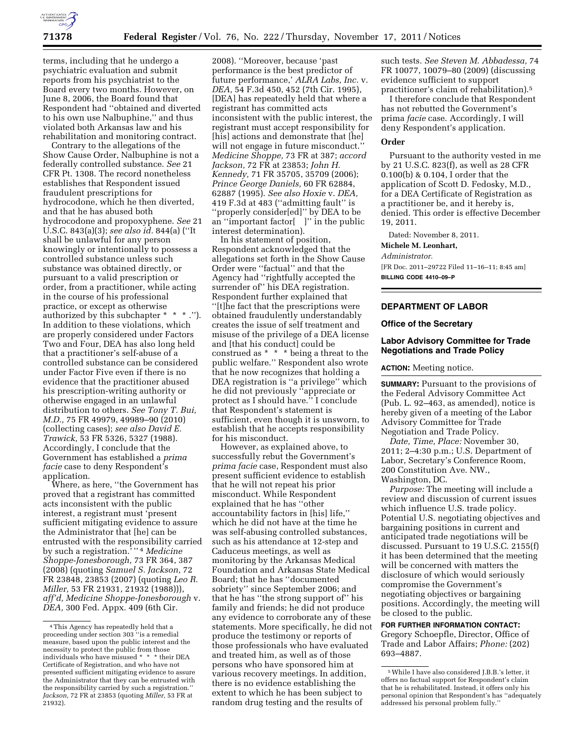

terms, including that he undergo a psychiatric evaluation and submit reports from his psychiatrist to the Board every two months. However, on June 8, 2006, the Board found that Respondent had ''obtained and diverted to his own use Nalbuphine,'' and thus violated both Arkansas law and his rehabilitation and monitoring contract.

Contrary to the allegations of the Show Cause Order, Nalbuphine is not a federally controlled substance. *See* 21 CFR Pt. 1308. The record nonetheless establishes that Respondent issued fraudulent prescriptions for hydrocodone, which he then diverted, and that he has abused both hydrocodone and propoxyphene. *See* 21 U.S.C. 843(a)(3); *see also id.* 844(a) (''It shall be unlawful for any person knowingly or intentionally to possess a controlled substance unless such substance was obtained directly, or pursuant to a valid prescription or order, from a practitioner, while acting in the course of his professional practice, or except as otherwise authorized by this subchapter \* \* \* .''). In addition to these violations, which are properly considered under Factors Two and Four, DEA has also long held that a practitioner's self-abuse of a controlled substance can be considered under Factor Five even if there is no evidence that the practitioner abused his prescription-writing authority or otherwise engaged in an unlawful distribution to others. *See Tony T. Bui, M.D.,* 75 FR 49979, 49989–90 (2010) (collecting cases); *see also David E. Trawick,* 53 FR 5326, 5327 (1988). Accordingly, I conclude that the Government has established a *prima facie* case to deny Respondent's application.

Where, as here, ''the Government has proved that a registrant has committed acts inconsistent with the public interest, a registrant must 'present sufficient mitigating evidence to assure the Administrator that [he] can be entrusted with the responsibility carried by such a registration.' '' 4 *Medicine Shoppe-Jonesborough,* 73 FR 364, 387 (2008) (quoting *Samuel S. Jackson,* 72 FR 23848, 23853 (2007) (quoting *Leo R. Miller,* 53 FR 21931, 21932 (1988))), *aff'd, Medicine Shoppe-Jonesborough* v. *DEA,* 300 Fed. Appx. 409 (6th Cir.

2008). ''Moreover, because 'past performance is the best predictor of future performance,' *ALRA Labs, Inc.* v. *DEA,* 54 F.3d 450, 452 (7th Cir. 1995), [DEA] has repeatedly held that where a registrant has committed acts inconsistent with the public interest, the registrant must accept responsibility for [his] actions and demonstrate that [he] will not engage in future misconduct.'' *Medicine Shoppe,* 73 FR at 387; *accord Jackson,* 72 FR at 23853; *John H. Kennedy,* 71 FR 35705, 35709 (2006); *Prince George Daniels,* 60 FR 62884, 62887 (1995). *See also Hoxie* v. *DEA,*  419 F.3d at 483 (''admitting fault'' is ''properly consider[ed]'' by DEA to be an ''important factor[ ]'' in the public interest determination).

In his statement of position, Respondent acknowledged that the allegations set forth in the Show Cause Order were ''factual'' and that the Agency had ''rightfully accepted the surrender of" his DEA registration. Respondent further explained that ''[t]he fact that the prescriptions were obtained fraudulently understandably creates the issue of self treatment and misuse of the privilege of a DEA license and [that his conduct] could be construed as \* \* \* being a threat to the public welfare.'' Respondent also wrote that he now recognizes that holding a DEA registration is ''a privilege'' which he did not previously ''appreciate or protect as I should have.'' I conclude that Respondent's statement is sufficient, even though it is unsworn, to establish that he accepts responsibility for his misconduct.

However, as explained above, to successfully rebut the Government's *prima facie* case, Respondent must also present sufficient evidence to establish that he will not repeat his prior misconduct. While Respondent explained that he has ''other accountability factors in [his] life,'' which he did not have at the time he was self-abusing controlled substances, such as his attendance at 12-step and Caduceus meetings, as well as monitoring by the Arkansas Medical Foundation and Arkansas State Medical Board; that he has ''documented sobriety'' since September 2006; and that he has ''the strong support of'' his family and friends; he did not produce any evidence to corroborate any of these statements. More specifically, he did not produce the testimony or reports of those professionals who have evaluated and treated him, as well as of those persons who have sponsored him at various recovery meetings. In addition, there is no evidence establishing the extent to which he has been subject to random drug testing and the results of

such tests. *See Steven M. Abbadessa,* 74 FR 10077, 10079–80 (2009) (discussing evidence sufficient to support practitioner's claim of rehabilitation).5

I therefore conclude that Respondent has not rebutted the Government's prima *facie* case. Accordingly, I will deny Respondent's application.

#### **Order**

Pursuant to the authority vested in me by 21 U.S.C. 823(f), as well as 28 CFR 0.100(b) & 0.104, I order that the application of Scott D. Fedosky, M.D., for a DEA Certificate of Registration as a practitioner be, and it hereby is, denied. This order is effective December 19, 2011.

Dated: November 8, 2011.

**Michele M. Leonhart,** 

*Administrator.* 

[FR Doc. 2011–29722 Filed 11–16–11; 8:45 am] **BILLING CODE 4410–09–P** 

## **DEPARTMENT OF LABOR**

#### **Office of the Secretary**

## **Labor Advisory Committee for Trade Negotiations and Trade Policy**

**ACTION:** Meeting notice.

**SUMMARY:** Pursuant to the provisions of the Federal Advisory Committee Act (Pub. L. 92–463, as amended), notice is hereby given of a meeting of the Labor Advisory Committee for Trade Negotiation and Trade Policy.

*Date, Time, Place:* November 30, 2011; 2–4:30 p.m.; U.S. Department of Labor, Secretary's Conference Room, 200 Constitution Ave. NW., Washington, DC.

*Purpose:* The meeting will include a review and discussion of current issues which influence U.S. trade policy. Potential U.S. negotiating objectives and bargaining positions in current and anticipated trade negotiations will be discussed. Pursuant to 19 U.S.C. 2155(f) it has been determined that the meeting will be concerned with matters the disclosure of which would seriously compromise the Government's negotiating objectives or bargaining positions. Accordingly, the meeting will be closed to the public.

## **FOR FURTHER INFORMATION CONTACT:**

Gregory Schoepfle, Director, Office of Trade and Labor Affairs; *Phone:* (202) 693–4887.

<sup>4</sup>This Agency has repeatedly held that a proceeding under section 303 ''is a remedial measure, based upon the public interest and the necessity to protect the public from those individuals who have misused \* \* \* their DEA Certificate of Registration, and who have not presented sufficient mitigating evidence to assure the Administrator that they can be entrusted with the responsibility carried by such a registration." *Jackson,* 72 FR at 23853 (quoting *Miller,* 53 FR at 21932).

<sup>5</sup>While I have also considered J.B.B.'s letter, it offers no factual support for Respondent's claim that he is rehabilitated. Instead, it offers only his personal opinion that Respondent's has ''adequately addressed his personal problem fully.''